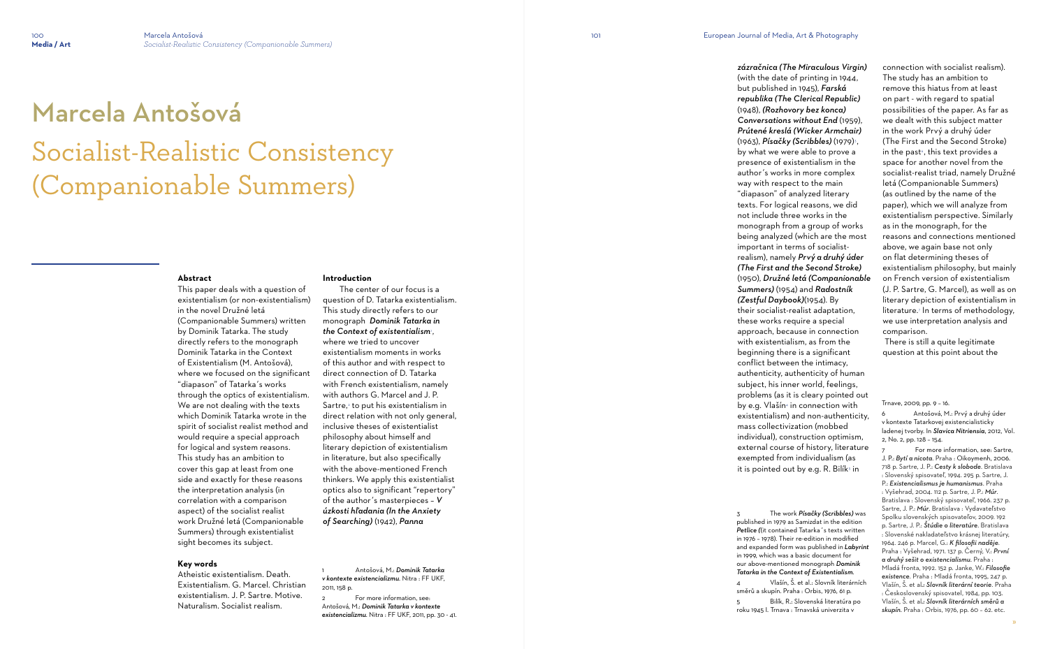# Marcela Antošová Socialist-Realistic Consistency (Companionable Summers)

#### **Abstract**

This paper deals with a question of existentialism (or non-existentialism) in the novel Družné letá (Companionable Summers) written by Dominik Tatarka. The study directly refers to the monograph Dominik Tatarka in the Context of Existentialism (M. Antošová), where we focused on the significant "diapason" of Tatarka´s works through the optics of existentialism. We are not dealing with the texts which Dominik Tatarka wrote in the spirit of socialist realist method and would require a special approach for logical and system reasons. This study has an ambition to cover this gap at least from one side and exactly for these reasons the interpretation analysis (in correlation with a comparison aspect) of the socialist realist work Družné letá (Companionable Summers) through existentialist sight becomes its subject.

#### **Key words**

*zázračnica (The Miraculous Virgin)* (with the date of printing in 1944, but published in 1945), *Farská republika (The Clerical Republic)* (1948), *(Rozhovory bez konca) Conversations without End* (1959), *Prútené kreslá (Wicker Armchair)* (1963), *Písačky (Scribbles)* (1979)<sup>3</sup> , by what we were able to prove a presence of existentialism in the author´s works in more complex way with respect to the main "diapason" of analyzed literary texts. For logical reasons, we did not include three works in the monograph from a group of works being analyzed (which are the most important in terms of socialistrealism), namely *Prvý a druhý úder (The First and the Second Stroke)*  (1950), *Družné letá (Companionable Summers)* (1954) and *Radostník (Zestful Daybook)*(1954). By their socialist-realist adaptation, these works require a special approach, because in connection with existentialism, as from the beginning there is a significant conflict between the intimacy, authenticity, authenticity of human subject, his inner world, feelings, problems (as it is cleary pointed out by e.g. Vlašín4 in connection with existentialism) and non-authenticity, mass collectivization (mobbed individual), construction optimism, external course of history, literature exempted from individualism (as it is pointed out by e.g. R. Bilík<sup>5</sup> in

Atheistic existentialism. Death. Existentialism. G. Marcel. Christian existentialism. J. P. Sartre. Motive. Naturalism. Socialist realism.

**Introduction**

 The center of our focus is a question of D. Tatarka existentialism. This study directly refers to our monograph *Dominik Tatarka in the Context of existentialism*<sup>1</sup> , where we tried to uncover existentialism moments in works of this author and with respect to direct connection of D. Tatarka with French existentialism, namely with authors G. Marcel and J. P. Sartre,<sup>2</sup> to put his existentialism in direct relation with not only general, inclusive theses of existentialist philosophy about himself and literary depiction of existentialism in literature, but also specifically with the above-mentioned French thinkers. We apply this existentialist optics also to significant "repertory" of the author´s masterpieces – *V úzkosti hľadania (In the Anxiety of Searching)* (1942), *Panna* 

1 Antošová, M.: *Dominik Tatarka v kontexte existencializmu*. Nitra : FF UKF, 2011, 158 p.

2 For more information, see: Antošová, M.: *Dominik Tatarka v kontexte existencializmu*. Nitra : FF UKF, 2011, pp. 30 - 41.

For more information, see: Sartre, J. P.: *Bytí a nicota*. Praha : Oikoymenh, 2006. 718 p. Sartre, J. P.: *Cesty k slobode*. Bratislava : Slovenský spisovateľ, 1994. 295 p. Sartre, J. P.: *Existencialismus je humanismus*. Praha : Vyšehrad, 2004. 112 p. Sartre, J. P.: *Múr*. Bratislava : Slovenský spisovateľ, 1966. 237 p. Sartre, J. P.: *Múr*. Bratislava : Vydavateľstvo Spolku slovenských spisovateľov, 2009. 192 p. Sartre, J. P.: *Štúdie o literatúre*. Bratislava : Slovenské nakladateľstvo krásnej literatúry, 1964. 246 p. Marcel, G.: *K filosofii naděje*. Praha : Vyšehrad, 1971. 137 p. Černý, V.: *První a druhý sešit o existencialismu*. Praha : Mladá fronta, 1992. 152 p. Janke, W.: *Filosofie existence*. Praha : Mladá fronta, 1995, 247 p. Vlašín, Š. et al*.: Slovník literární teorie*. Praha : Československý spisovatel, 1984, pp. 103. Vlašín, Š. et al*.: Slovník literárních směrů a skupín*. Praha : Orbis, 1976, pp. 60 – 62. etc.

3 The work *Písačky (Scribbles)* was published in 1979 as Samizdat in the edition *Petlice (*(it contained Tatarka´s texts written in 1976 – 1978). Their re-edition in modified and expanded form was published in *Labyrint* in 1999, which was a basic document for our above-mentioned monograph *Dominik Tatarka in the Context of Existentialism*.

4 Vlašín, Š. et al.: Slovník literárních směrů a skupín. Praha : Orbis, 1976, 61 p.

5 Bilík, R.: Slovenská literatúra po roku 1945 I. Trnava : Trnavská univerzita v

connection with socialist realism). The study has an ambition to remove this hiatus from at least on part - with regard to spatial possibilities of the paper. As far as we dealt with this subject matter in the work Prvý a druhý úder (The First and the Second Stroke) in the past 6 , this text provides a space for another novel from the socialist-realist triad, namely Družné letá (Companionable Summers) (as outlined by the name of the paper), which we will analyze from existentialism perspective. Similarly as in the monograph, for the reasons and connections mentioned above, we again base not only on flat determining theses of existentialism philosophy, but mainly on French version of existentialism (J. P. Sartre, G. Marcel), as well as on literary depiction of existentialism in literature. 7 In terms of methodology, we use interpretation analysis and comparison.

 There is still a quite legitimate question at this point about the

Trnave, 2009, pp. 9 – 16.

6 Antošová, M.: Prvý a druhý úder v kontexte Tatarkovej existencialisticky ladenej tvorby. In *Slavica Nitriensia*, 2012, Vol. 2, No. 2, pp. 128 – 154.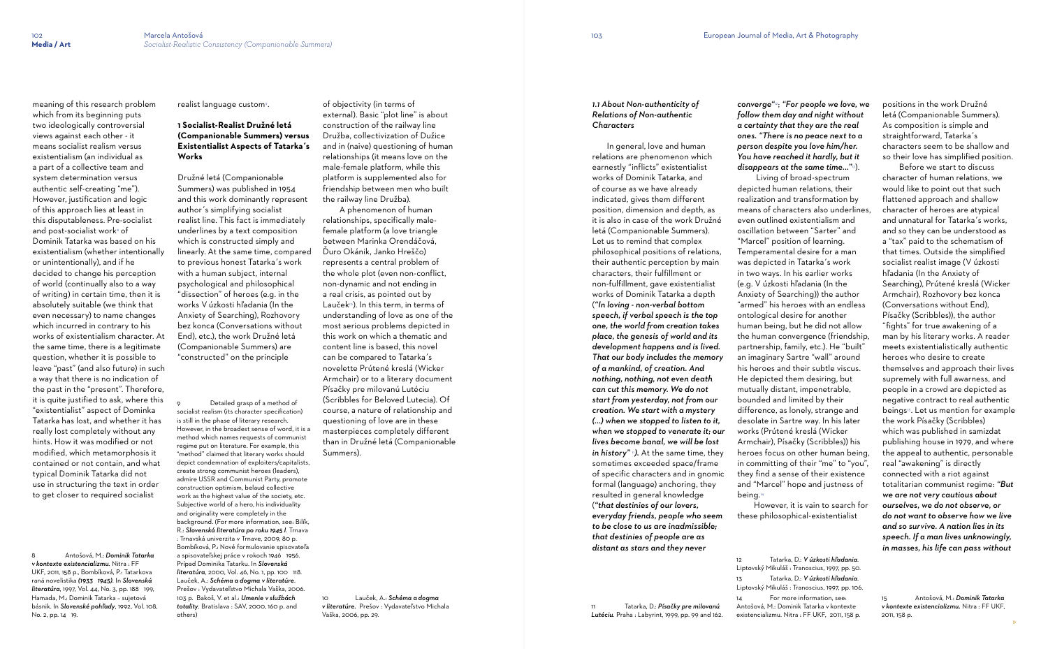meaning of this research problem

which from its beginning puts two ideologically controversial views against each other - it means socialist realism versus existentialism (an individual as a part of a collective team and system determination versus authentic self-creating "me"). However, justification and logic of this approach lies at least in this disputableness. Pre-socialist and post-socialist work $^{\mathrm{s}}$  of Dominik Tatarka was based on his existentialism (whether intentionally or unintentionally), and if he decided to change his perception of world (continually also to a way of writing) in certain time, then it is absolutely suitable (we think that even necessary) to name changes which incurred in contrary to his works of existentialism character. At the same time, there is a legitimate question, whether it is possible to leave "past" (and also future) in such a way that there is no indication of the past in the "present". Therefore, it is quite justified to ask, where this "existentialist" aspect of Dominka Tatarka has lost, and whether it has really lost completely without any hints. How it was modified or not modified, which metamorphosis it contained or not contain, and what typical Dominik Tatarka did not use in structuring the text in order to get closer to required socialist

8 Antošová, M.: *Dominik Tatarka v kontexte existencializmu*. Nitra : FF UKF, 2011, 158 p., Bombíková, P.: Tatarkova raná novelistika *(1933 1945)*. In *Slovenská literatúra*, 1997, Vol. 44, No. 3, pp. 188 199, Hamada, M.: Dominik Tatarka – sujetová básnik. In *Slovenské pohľady*, 1992, Vol. 108, No. 2, pp. 14 19.

realist language custom<sub>°</sub>.

Detailed grasp of a method of socialist realism (its character specification) is still in the phase of literary research. However, in the broadest sense of word, it is a method which names requests of communist regime put on literature. For example, this "method" claimed that literary works should depict condemnation of exploiters/capitalists, create strong communist heroes (leaders), admire USSR and Communist Party, promote construction optimism, belaud collective work as the highest value of the society, etc. Subjective world of a hero, his individuality and originality were completely in the background. (For more information, see: Bilík, R.: *Slovenská literatúra po roku 1945 I*. Trnava : Trnavská univerzita v Trnave, 2009, 80 p. Bombíková, P.: Nové formulovanie spisovateľa a spisovateľskej práce v rokoch 1946 1956. Prípad Dominika Tatarku. In *Slovenská literatúra*, 2000, Vol. 46, No. 1, pp. 100 118. Lauček, A.: *Schéma a dogma v literatúre*. Prešov : Vydavateľstvo Michala Vaška, 2006. 103 p. Bakoš, V. et al.: *Umenie v službách totality*. Bratislava : SAV, 2000, 160 p. and others)

# **1 Socialist-Realist Družné letá (Companionable Summers) versus Existentialist Aspects of Tatarka´s Works**

Družné letá (Companionable Summers) was published in 1954 and this work dominantly represent author´s simplifying socialist realist line. This fact is immediately underlines by a text composition which is constructed simply and linearly. At the same time, compared to previous honest Tatarka´s work with a human subject, internal psychological and philosophical "dissection" of heroes (e.g. in the works V úzkosti hľadania (In the Anxiety of Searching), Rozhovory bez konca (Conversations without End), etc.), the work Družné letá (Companionable Summers) are "constructed" on the principle

of objectivity (in terms of external). Basic "plot line" is about construction of the railway line Družba, collectivization of Dužice and in (naive) questioning of human relationships (it means love on the male-female platform, while this platform is supplemented also for friendship between men who built the railway line Družba).

 A phenomenon of human relationships, specifically malefemale platform (a love triangle between Marinka Orendáčová, Ďuro Okánik, Janko Hreščo) represents a central problem of the whole plot (even non-conflict, non-dynamic and not ending in a real crisis, as pointed out by Lauček<sup>®</sup>). In this term, in terms of understanding of love as one of the most serious problems depicted in this work on which a thematic and content line is based, this novel can be compared to Tatarka´s novelette Prútené kreslá (Wicker Armchair) or to a literary document Písačky pre milovanú Lutéciu (Scribbles for Beloved Lutecia). Of course, a nature of relationship and questioning of love are in these masterpieces completely different than in Družné letá (Companionable Summers).

10 Lauček, A.: *Schéma a dogma v literatúre.* Prešov : Vydavateľstvo Michala Vaška, 2006, pp. 29.

#### *1.1 About Non-authenticity of Relations of Non-authentic Characters*

 In general, love and human relations are phenomenon which earnestly "inflicts" existentialist works of Dominik Tatarka, and of course as we have already indicated, gives them different position, dimension and depth, as it is also in case of the work Družné letá (Companionable Summers). Let us to remind that complex philosophical positions of relations, their authentic perception by main characters, their fulfillment or non-fulfillment, gave existentialist works of Dominik Tatarka a depth (*"In loving - non-verbal bottom speech, if verbal speech is the top one, the world from creation takes place, the genesis of world and its development happens and is lived. That our body includes the memory of a mankind, of creation. And nothing, nothing, not even death can cut this memory. We do not start from yesterday, not from our creation. We start with a mystery (...) when we stopped to listen to it, when we stopped to venerate it; our lives become banal, we will be lost in history*" <sup>1</sup>). At the same time, they sometimes exceeded space/frame of specific characters and in gnomic formal (language) anchoring, they resulted in general knowledge (*"that destinies of our lovers, everyday friends, people who seem to be close to us are inadmissible; that destinies of people are as* 

*distant as stars and they never* 

11 Tatarka, D.: *Písačky pre milovanú Lutéciu*. Praha : Labyrint, 1999, pp. 99 and 162.

*converge"*12; *"For people we love, we follow them day and night without a certainty that they are the real ones. "There is no peace next to a person despite you love him/her. You have reached it hardly, but it disappears at the same time..."* <sup>13</sup>). Living of broad-spectrum depicted human relations, their realization and transformation by means of characters also underlines, even outlined existentialism and oscillation between "Sarter" and "Marcel" position of learning. Temperamental desire for a man was depicted in Tatarka´s work in two ways. In his earlier works (e.g. V úzkosti hľadania (In the Anxiety of Searching)) the author "armed" his heroes with an endless ontological desire for another human being, but he did not allow the human convergence (friendship, partnership, family, etc.). He "built" an imaginary Sartre "wall" around his heroes and their subtle viscus. He depicted them desiring, but mutually distant, impenetrable, bounded and limited by their difference, as lonely, strange and desolate in Sartre way. In his later works (Prútené kreslá (Wicker Armchair), Písačky (Scribbles)) his heroes focus on other human being, in committing of their "me" to "you", they find a sense of their existence and "Marcel" hope and justness of

being.<sup>14</sup>

 However, it is vain to search for these philosophical-existentialist

14 For more information, see:

positions in the work Družné letá (Companionable Summers). As composition is simple and straightforward, Tatarka´s characters seem to be shallow and so their love has simplified position.

 Before we start to discuss character of human relations, we would like to point out that such flattened approach and shallow character of heroes are atypical and unnatural for Tatarka´s works, and so they can be understood as a "tax" paid to the schematism of that times. Outside the simplified socialist realist image (V úzkosti hľadania (In the Anxiety of Searching), Prútené kreslá (Wicker Armchair), Rozhovory bez konca (Conversations without End), Písačky (Scribbles)), the author "fights" for true awakening of a man by his literary works. A reader meets existentialistically authentic heroes who desire to create themselves and approach their lives supremely with full awarness, and people in a crowd are depicted as negative contract to real authentic beings 15 . Let us mention for example the work Písačky (Scribbles) which was published in samizdat publishing house in 1979, and where the appeal to authentic, personable real "awakening" is directly connected with a riot against totalitarian communist regime: *"But we are not very cautious about ourselves, we do not observe, or do not want to observe how we live and so survive. A nation lies in its speech. If a man lives unknowingly, in masses, his life can pass without* 

<sup>12</sup> Tatarka, D.: *V úzkosti hľadania*. Liptovský Mikuláš : Tranoscius, 1997, pp. 50. 13 Tatarka, D.: *V úzkosti hľadania*. Liptovský Mikuláš : Tranoscius, 1997, pp. 106. Antošová, M.: Dominik Tatarka v kontexte existencializmu. Nitra : FF UKF, 2011, 158 p.

<sup>15</sup> Antošová, M.: *Dominik Tatarka v kontexte existencializmu.* Nitra : FF UKF, 2011, 158 p.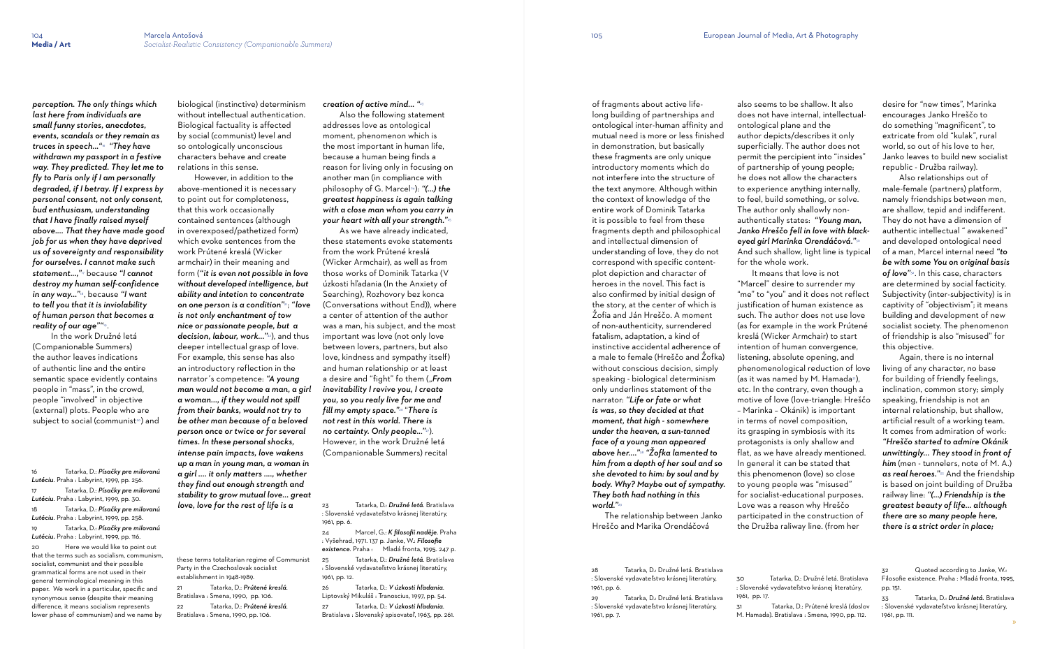In the work Družné letá (Companionable Summers) the author leaves indications of authentic line and the entire semantic space evidently contains people in "mass", in the crowd, people "involved" in objective (external) plots. People who are subject to social (communist<sup>20</sup>) and

*perception. The only things which last here from individuals are small funny stories, anecdotes, events, scandals or they remain as truces in speech..."* <sup>16</sup> *"They have withdrawn my passport in a festive way. They predicted. They let me to fly to Paris only if I am personally degraded, if I betray. If I express by personal consent, not only consent, bud enthusiasm, understanding that I have finally raised myself above.... That they have made good job for us when they have deprived us of sovereignty and responsibility for ourselves. I cannot make such statement...,"*<sup>17</sup> because *"I cannot destroy my human self-confidence in any way..."* <sup>18</sup> , because *"I want to tell you that it is inviolability of human person that becomes a reality of our age""*<sup>19</sup> .

16 Tatarka, D.: *Písačky pre milovanú Lutéciu*. Praha : Labyrint, 1999, pp. 256. 17 Tatarka, D.: *Písačky pre milovanú Lutéciu*. Praha : Labyrint, 1999, pp. 30. 18 Tatarka, D.: *Písačky pre milovanú Lutéciu*. Praha : Labyrint, 1999, pp. 258. 19 Tatarka, D.: *Písačky pre milovanú Lutéciu.* Praha : Labyrint, 1999, pp. 116. 20 Here we would like to point out that the terms such as socialism, communism,

socialist, communist and their possible grammatical forms are not used in their general terminological meaning in this paper. We work in a particular, specific and synonymous sense (despite their meaning difference, it means socialism represents lower phase of communism) and we name by biological (instinctive) determinism without intellectual authentication. Biological factuality is affected by social (communist) level and so ontologically unconscious characters behave and create relations in this sense.

 However, in addition to the above-mentioned it is necessary to point out for completeness, that this work occasionally contained sentences (although in overexposed/pathetized form) which evoke sentences from the work Prútené kreslá (Wicker armchair) in their meaning and form (*"it is even not possible in love without developed intelligence, but ability and intetion to concentrate on one person is a condition"*21; *"love is not only enchantment of tow nice or passionate people, but a decision, labour, work..."* <sup>22</sup>), and thus deeper intellectual grasp of love. For example, this sense has also an introductory reflection in the narrator´s competence: *"A young man would not become a man, a girl a woman..., if they would not spill from their banks, would not try to be other man because of a beloved person once or twice or for several times. In these personal shocks, intense pain impacts, love wakens up a man in young man, a woman in a girl .... it only matters ...., whether they find out enough strength and stability to grow mutual love... great love, love for the rest of life is a* 

these terms totalitarian regime of Communist Party in the Czechoslovak socialist establishment in 1948-1989.

also seems to be shallow. It also does not have internal, intellectualontological plane and the author depicts/describes it only superficially. The author does not permit the percipient into "insides" of partnership of young people; he does not allow the characters to experience anything internally, to feel, build something, or solve. The author only shallowly nonauthentically states: *"Young man, Janko Hreščo fell in love with blackeyed girl Marinka Orendáčová."*<sup>30</sup> And such shallow, light line is typical for the whole work. It means that love is not "Marcel" desire to surrender my "me" to "you" and it does not reflect justification of human existence as

21 Tatarka, D.: *Prútené kreslá*. Bratislava : Smena, 1990, pp. 106.

22 Tatarka, D.: *Prútené kreslá*. Bratislava : Smena, 1990, pp. 106.

*creation of active mind... "*<sup>23</sup>

Also the following statement addresses love as ontological moment, phenomenon which is the most important in human life, because a human being finds a reason for living only in focusing on another man (in compliance with philosophy of G. Marcel24): *"(...) the greatest happiness is again talking with a close man whom you carry in your heart with all your strength."*<sup>25</sup>

 As we have already indicated, these statements evoke statements from the work Prútené kreslá (Wicker Armchair), as well as from those works of Dominik Tatarka (V úzkosti hľadania (In the Anxiety of Searching), Rozhovory bez konca (Conversations without End)), where a center of attention of the author was a man, his subject, and the most important was love (not only love between lovers, partners, but also love, kindness and sympathy itself) and human relationship or at least a desire and "fight" fo them ("From *inevitability I revive you, I create you, so you realy live for me and fill my empty space."*<sup>26</sup> "*There is not rest in this world. There is no certainty. Only people..*.*"* <sup>27</sup>). However, in the work Družné letá (Companionable Summers) recital

23 Tatarka, D.: *Družné letá*. Bratislava : Slovenské vydavateľstvo krásnej literatúry, 1961, pp. 6.

24 Marcel, G.: *K filosofii naděje*. Praha : Vyšehrad, 1971. 137 p. Janke, W.: *Filosofie existence*. Praha : Mladá fronta, 1995. 247 p.

25 Tatarka, D.: *Družné letá*. Bratislava : Slovenské vydavateľstvo krásnej literatúry, 1961, pp. 12.

26 Tatarka, D.: *V úzkosti hľadania*. Liptovský Mikuláš : Tranoscius, 1997, pp. 54.

27 Tatarka, D.: *V úzkosti hľadania*. Bratislava : Slovenský spisovateľ, 1963, pp. 261. of fragments about active lifelong building of partnerships and ontological inter-human affinity and mutual need is more or less finished in demonstration, but basically these fragments are only unique introductory moments which do not interfere into the structure of the text anymore. Although within the context of knowledge of the entire work of Dominik Tatarka it is possible to feel from these fragments depth and philosophical and intellectual dimension of understanding of love, they do not correspond with specific contentplot depiction and character of heroes in the novel. This fact is also confirmed by initial design of the story, at the center of which is Žofia and Ján Hreščo. A moment of non-authenticity, surrendered fatalism, adaptation, a kind of instinctive accidental adherence of a male to female (Hreščo and Žofka) without conscious decision, simply speaking - biological determinism only underlines statement of the narrator: *"Life or fate or what is was, so they decided at that moment, that high - somewhere under the heaven, a sun-tanned face of a young man appeared above her...."* <sup>28</sup> *"Žofka lamented to him from a depth of her soul and so she devoted to him: by soul and by body. Why? Maybe out of sympathy. They both had nothing in this world."*<sup>29</sup>

 The relationship between Janko Hreščo and Marika Orendáčová

28 Tatarka, D.: Družné letá. Bratislava : Slovenské vydavateľstvo krásnej literatúry, 1961, pp. 6.

29 Tatarka, D.: Družné letá. Bratislava : Slovenské vydavateľstvo krásnej literatúry, 1961, pp. 7.

such. The author does not use love (as for example in the work Prútené kreslá (Wicker Armchair) to start intention of human convergence, listening, absolute opening, and phenomenological reduction of love (as it was named by M. Hamada $\overline{a}$ ), etc. In the contrary, even though a motive of love (love-triangle: Hreščo – Marinka – Okánik) is important in terms of novel composition, its grasping in symbiosis with its protagonists is only shallow and flat, as we have already mentioned. In general it can be stated that this phenomenon (love) so close to young people was "misused" for socialist-educational purposes. Love was a reason why Hreščo participated in the construction of the Družba raliway line. (from her

30 Tatarka, D.: Družné letá. Bratislava : Slovenské vydavateľstvo krásnej literatúry,

1961, pp. 17.

31 Tatarka, D.: Prútené kreslá (doslov M. Hamada). Bratislava : Smena, 1990, pp. 112.

desire for "new times", Marinka encourages Janko Hreščo to do something "magnificent", to extricate from old "kulak", rural world, so out of his love to her, Janko leaves to build new socialist republic - Družba railway).

 Also relationships out of male-female (partners) platform, namely friendships between men, are shallow, tepid and indifferent. They do not have a dimension of authentic intellectual " awakened" and developed ontological need of a man, Marcel internal need *"to be with some You on original basis of love"* 32 . In this case, characters are determined by social facticity. Subjectivity (inter-subjectivity) is in captivity of "objectivism"; it means building and development of new socialist society. The phenomenon of friendship is also "misused" for this objective.

 Again, there is no internal living of any character, no base for building of friendly feelings, inclination, common story; simply speaking, friendship is not an internal relationship, but shallow, artificial result of a working team. It comes from admiration of work: *"Hreščo started to admire Okánik unwittingly... They stood in front of him* (men - tunnelers, note of M. A.) as real heroes."<sup>33</sup> And the friendship is based on joint building of Družba railway line: *"(...) Friendship is the greatest beauty of life... although there are so many people here, there is a strict order in place;* 

32 Quoted according to Janke, W.: Filosofie existence. Praha : Mladá fronta, 1995, pp. 151.

33 Tatarka, D.: *Družné letá.* Bratislava : Slovenské vydavateľstvo krásnej literatúry, 1961, pp. 111.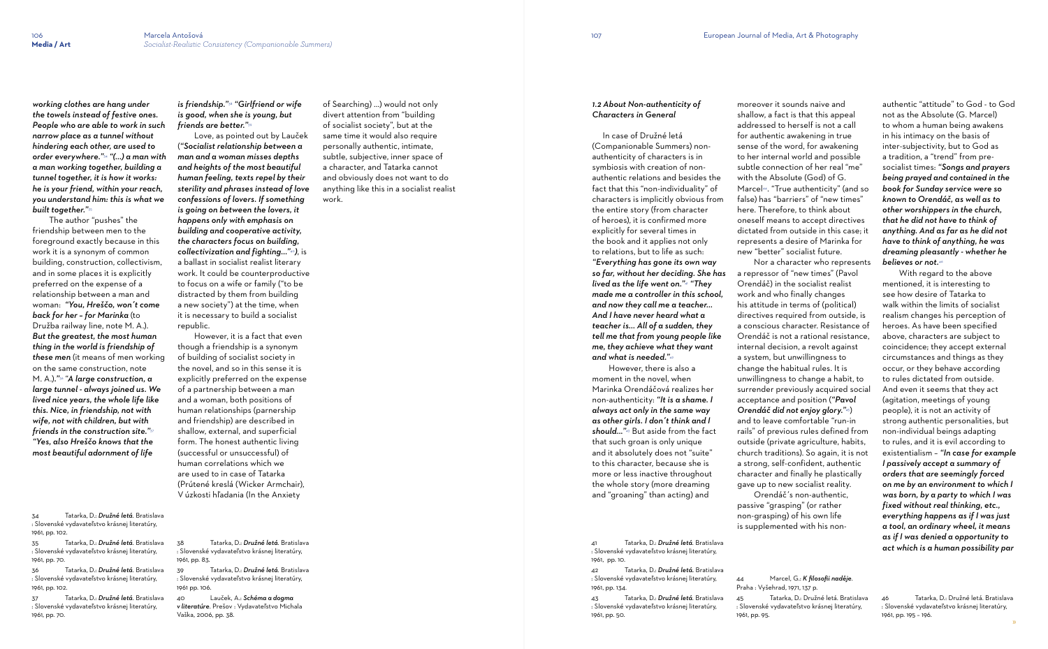*working clothes are hang under the towels instead of festive ones. People who are able to work in such narrow place as a tunnel without hindering each other, are used to order everywhere."*34 *"(...) a man with a man working together, building a tunnel together, it is how it works: he is your friend, within your reach, you understand him: this is what we built together."*<sup>35</sup>

 The author "pushes" the friendship between men to the foreground exactly because in this work it is a synonym of common building, construction, collectivism, and in some places it is explicitly preferred on the expense of a relationship between a man and woman: *"You, Hreščo, won´t come back for her – for Marinka* (to Družba railway line, note M. A.). *But the greatest, the most human thing in the world is friendship of these men* (it means of men working on the same construction, note M. A.)*."*36 "*A large construction, a large tunnel - always joined us. We lived nice years, the whole life like this. Nice, in friendship, not with wife, not with children, but with friends in the construction site."*<sup>37</sup> *"Yes, also Hreščo knows that the most beautiful adornment of life* 

34 Tatarka, D.: *Družné letá*. Bratislava : Slovenské vydavateľstvo krásnej literatúry, 1961, pp. 102.

35 Tatarka, D.: *Družné letá*. Bratislava : Slovenské vydavateľstvo krásnej literatúry, 1961, pp. 70.

36 Tatarka, D.: *Družné letá*. Bratislava : Slovenské vydavateľstvo krásnej literatúry, 1961, pp. 102.

37 Tatarka, D.: *Družné letá*. Bratislava : Slovenské vydavateľstvo krásnej literatúry, 1961, pp. 70.

*is friendship."*38 *"Girlfriend or wife is good, when she is young, but friends are better."*<sup>39</sup>

 Love, as pointed out by Lauček (*"Socialist relationship between a man and a woman misses depths and heights of the most beautiful human feeling, texts repel by their sterility and phrases instead of love confessions of lovers. If something is going on between the lovers, it happens only with emphasis on building and cooperative activity, the characters focus on building, collectivization and fighting..."* <sup>40</sup>*)*, is a ballast in socialist realist literary work. It could be counterproductive to focus on a wife or family ("to be distracted by them from building a new society") at the time, when it is necessary to build a socialist republic.

 However, it is a fact that even though a friendship is a synonym of building of socialist society in the novel, and so in this sense it is explicitly preferred on the expense of a partnership between a man and a woman, both positions of human relationships (parnership and friendship) are described in shallow, external, and superficial form. The honest authentic living (successful or unsuccessful) of human correlations which we are used to in case of Tatarka (Prútené kreslá (Wicker Armchair), V úzkosti hľadania (In the Anxiety

38 Tatarka, D.: *Družné letá*. Bratislava : Slovenské vydavateľstvo krásnej literatúry, 1961, pp. 83.

39 Tatarka, D.: *Družné letá*. Bratislava : Slovenské vydavateľstvo krásnej literatúry, 1961 pp. 106.

40 Lauček, A.: *Schéma a dogma v literatúre*. Prešov : Vydavateľstvo Michala Vaška, 2006, pp. 38.

of Searching) ...) would not only divert attention from "building of socialist society", but at the same time it would also require personally authentic, intimate, subtle, subjective, inner space of a character, and Tatarka cannot and obviously does not want to do anything like this in a socialist realist work.

#### *1.2 About Non-authenticity of Characters in General*

 In case of Družné letá (Companionable Summers) nonauthenticity of characters is in symbiosis with creation of nonauthentic relations and besides the fact that this "non-individuality" of characters is implicitly obvious from the entire story (from character of heroes), it is confirmed more explicitly for several times in the book and it applies not only to relations, but to life as such: *"Everything has gone its own way so far, without her deciding. She has lived as the life went on."*<sup>41</sup> *"They made me a controller in this school, and now they call me a teacher... And I have never heard what a teacher is... All of a sudden, they tell me that from young people like me, they achieve what they want and what is needed."*<sup>42</sup>

 However, there is also a moment in the novel, when Marinka Orendáčová realizes her non-authenticity: *"It is a shame. I always act only in the same way as other girls. I don´t think and I should..."* <sup>43</sup> But aside from the fact that such groan is only unique and it absolutely does not "suite" to this character, because she is more or less inactive throughout the whole story (more dreaming and "groaning" than acting) and

41 Tatarka, D.: *Družné letá*. Bratislava : Slovenské vydavateľstvo krásnej literatúry, 1961, pp. 10.

42 Tatarka, D.: *Družné letá.* Bratislava : Slovenské vydavateľstvo krásnej literatúry, 1961, pp. 134.

43 Tatarka, D.: *Družné letá*. Bratislava : Slovenské vydavateľstvo krásnej literatúry, 1961, pp. 50.

moreover it sounds naive and shallow, a fact is that this appeal addressed to herself is not a call for authentic awakening in true sense of the word, for awakening to her internal world and possible subtle connection of her real "me" with the Absolute (God) of G. Marcel<sup>44</sup> . "True authenticity" (and so false) has "barriers" of "new times" here. Therefore, to think about oneself means to accept directives dictated from outside in this case; it represents a desire of Marinka for new "better" socialist future. Nor a character who represents a repressor of "new times" (Pavol Orendáč) in the socialist realist work and who finally changes his attitude in terms of (political) directives required from outside, is a conscious character. Resistance of Orendáč is not a rational resistance, internal decision, a revolt against a system, but unwillingness to change the habitual rules. It is unwillingness to change a habit, to surrender previously acquired social acceptance and position (*"Pavol Orendáč did not enjoy glory."*45) and to leave comfortable "run-in rails" of previous rules defined from outside (private agriculture, habits, church traditions). So again, it is not a strong, self-confident, authentic character and finally he plastically gave up to new socialist reality. Orendáč´s non-authentic, passive "grasping" (or rather non-grasping) of his own life

is supplemented with his non-

44 Marcel, G.: *K filosofii naděje*. 45 Tatarka, D.: Družné letá. Bratislava

1961, pp. 95.

authentic "attitude" to God - to God not as the Absolute (G. Marcel) to whom a human being awakens in his intimacy on the basis of inter-subjectivity, but to God as a tradition, a "trend" from presocialist times: *"Songs and prayers being prayed and contained in the book for Sunday service were so known to Orendáč, as well as to other worshippers in the church, that he did not have to think of anything. And as far as he did not have to think of anything, he was dreaming pleasantly - whether he believes or not.* 46

 With regard to the above mentioned, it is interesting to see how desire of Tatarka to walk within the limits of socialist realism changes his perception of heroes. As have been specified above, characters are subject to coincidence; they accept external circumstances and things as they occur, or they behave according to rules dictated from outside. And even it seems that they act (agitation, meetings of young people), it is not an activity of strong authentic personalities, but non-individual beings adapting to rules, and it is evil according to existentialism – *"In case for example I passively accept a summary of orders that are seemingly forced on me by an environment to which I was born, by a party to which I was fixed without real thinking, etc., everything happens as if I was just a tool, an ordinary wheel, it means as if I was denied a opportunity to act which is a human possibility par* 

46 Tatarka, D.: Družné letá. Bratislava : Slovenské vydavateľstvo krásnej literatúry, 1961, pp. 195 – 196.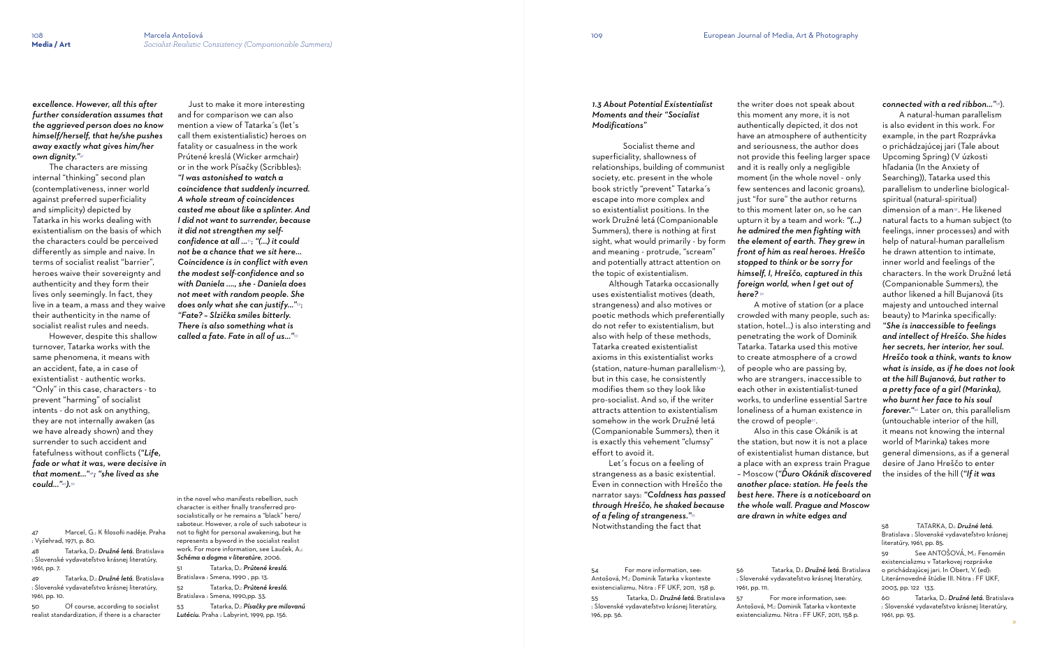*excellence. However, all this after further consideration assumes that the aggrieved person does no know himself/herself, that he/she pushes away exactly what gives him/her own dignity."*<sup>47</sup>

 The characters are missing internal "thinking" second plan (contemplativeness, inner world against preferred superficiality and simplicity) depicted by Tatarka in his works dealing with existentialism on the basis of which the characters could be perceived differently as simple and naive. In terms of socialist realist "barrier", heroes waive their sovereignty and authenticity and they form their lives only seemingly. In fact, they live in a team, a mass and they waive their authenticity in the name of socialist realist rules and needs.

 However, despite this shallow turnover, Tatarka works with the same phenomena, it means with an accident, fate, a in case of existentialist - authentic works. "Only" in this case, characters - to prevent "harming" of socialist intents - do not ask on anything, they are not internally awaken (as we have already shown) and they surrender to such accident and fatefulness without conflicts (*"Life, fade or what it was, were decisive in that moment..."* <sup>48</sup>*; "she lived as she could..."* <sup>49</sup>*).*<sup>50</sup>

47 Marcel, G.: K filosofii naděje. Praha : Vyšehrad, 1971, p. 80.

48 Tatarka, D.: *Družné letá*. Bratislava : Slovenské vydavateľstvo krásnej literatúry, 1961, pp. 7.

49 Tatarka, D.: *Družné letá*. Bratislava : Slovenské vydavateľstvo krásnej literatúry, 1961, pp. 10.

50 Of course, according to socialist realist standardization, if there is a character

 Just to make it more interesting and for comparison we can also mention a view of Tatarka´s (let´s call them existentialistic) heroes on fatality or casualness in the work Prútené kreslá (Wicker armchair) or in the work Písačky (Scribbles): *"I was astonished to watch a coincidence that suddenly incurred. A whole stream of coincidences casted me about like a splinter. And I did not want to surrender, because it did not strengthen my selfconfidence at all ...* <sup>51</sup>; *"(...) it could not be a chance that we sit here... Coincidence is in conflict with even the modest self-confidence and so with Daniela ...., she - Daniela does not meet with random people. She does only what she can justify..."* 52; *"Fate? – Slzička smiles bitterly. There is also something what is called a fate. Fate in all of us..."* 53

> Let's focus on a feeling of strangeness as a basic existential. Even in connection with Hreščo the narrator says: *"Coldness has passed through Hreščo, he shaked because of a feling of strangeness."*<sup>55</sup> Notwithstanding the fact that

 A motive of station (or a place crowded with many people, such as: station, hotel...) is also intersting and penetrating the work of Dominik Tatarka. Tatarka used this motive to create atmosphere of a crowd of people who are passing by, who are strangers, inaccessible to each other in existentialist-tuned works, to underline essential Sartre loneliness of a human existence in the crowd of peoples.

in the novel who manifests rebellion, such character is either finally transferred prosocialistically or he remains a "black" hero/ saboteur. However, a role of such saboteur is not to fight for personal awakening, but he represents a byword in the socialist realist work. For more information, see Lauček, A.: *Schéma a dogma v literatúre*, 2006.

51 Tatarka, D.: *Prútené kreslá*. Bratislava : Smena, 1990 , pp. 13. 52 Tatarka, D.: *Prútené kreslá*. Bratislava : Smena, 1990,pp. 33.

53 Tatarka, D.: *Písačky pre milovanú Lutéciu*. Praha : Labyrint, 1999, pp. 156.

### *1.3 About Potential Existentialist Moments and their "Socialist Modifications"*

 Socialist theme and superficiality, shallowness of relationships, building of communist society, etc. present in the whole book strictly "prevent" Tatarka´s escape into more complex and so existentialist positions. In the work Družné letá (Companionable Summers), there is nothing at first sight, what would primarily - by form and meaning - protrude, "scream" and potentially attract attention on the topic of existentialism.

 Although Tatarka occasionally uses existentialist motives (death, strangeness) and also motives or poetic methods which preferentially do not refer to existentialism, but also with help of these methods, Tatarka created existentialist axioms in this existentialist works  $(station, nature-human\ parallelism<sup>54</sup>).$ but in this case, he consistently modifies them so they look like pro-socialist. And so, if the writer attracts attention to existentialism somehow in the work Družné letá (Companionable Summers), then it is exactly this vehement "clumsy" effort to avoid it.

54 For more information, see: Antošová, M.: Dominik Tatarka v kontexte existencializmu. Nitra : FF UKF, 2011, 158 p.

55 Tatarka, D.: *Družné letá*. Bratislava : Slovenské vydavateľstvo krásnej literatúry, 196, pp. 56.

the writer does not speak about this moment any more, it is not authentically depicted, it dos not have an atmosphere of authenticity and seriousness, the author does not provide this feeling larger space and it is really only a negligible moment (in the whole novel - only few sentences and laconic groans). just "for sure" the author returns to this moment later on, so he can upturn it by a team and work: *"(...) he admired the men fighting with the element of earth. They grew in front of him as real heroes. Hreščo stopped to think or be sorry for himself, I, Hreščo, captured in this foreign world, when I get out of* 

*here?* <sup>56</sup>

 Also in this case Okánik is at the station, but now it is not a place of existentialist human distance, but a place with an express train Prague – Moscow (*"Ďuro Okánik discovered another place: station. He feels the best here. There is a noticeboard on the whole wall. Prague and Moscow are drawn in white edges and* 

56 Tatarka, D.: *Družné letá*. Bratislava : Slovenské vydavateľstvo krásnej literatúry,

1961, pp. 111.

57 For more information, see: Antošová, M.: Dominik Tatarka v kontexte existencializmu. Nitra : FF UKF, 2011, 158 p.

#### *connected with a red ribbon..."* 58 ).

 A natural-human parallelism is also evident in this work. For example, in the part Rozprávka o prichádzajúcej jari (Tale about Upcoming Spring) (V úzkosti hľadania (In the Anxiety of Searching)), Tatarka used this parallelism to underline biologicalspiritual (natural-spiritual) dimension of a man<sup>59</sup> . He likened natural facts to a human subject (to feelings, inner processes) and with help of natural-human parallelism he drawn attention to intimate, inner world and feelings of the characters. In the work Družné letá (Companionable Summers), the author likened a hill Bujanová (its majesty and untouched internal beauty) to Marinka specifically: *"She is inaccessible to feelings and intellect of Hreščo. She hides her secrets, her interior, her soul. Hreščo took a think, wants to know what is inside, as if he does not look at the hill Bujanová, but rather to a pretty face of a girl (Marinka), who burnt her face to his soul forever."* 60 Later on, this parallelism (untouchable interior of the hill, it means not knowing the internal world of Marinka) takes more general dimensions, as if a general desire of Jano Hreščo to enter the insides of the hill (*"If it was* 

<sup>58</sup> TATARKA, D.: *Družné letá*. Bratislava : Slovenské vydavateľstvo krásnej literatúry, 1961, pp. 85.

<sup>59</sup> See ANTOŠOVÁ, M.: Fenomén existencializmu v Tatarkovej rozprávke o prichádzajúcej jari. In Obert, V. (ed): Literárnovedné štúdie III. Nitra : FF UKF, 2003, pp. 122 133.

<sup>60</sup> Tatarka, D.: *Družné letá*. Bratislava : Slovenské vydavateľstvo krásnej literatúry, 1961, pp. 93.